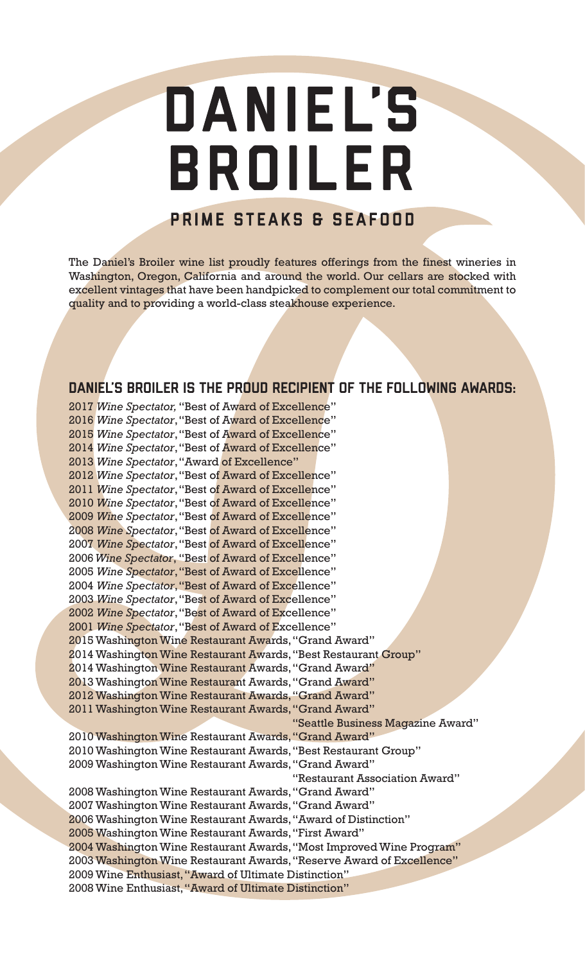# DANIEL'S BROILER

### PRIME STEAKS & SEAFOOD

The Daniel's Broiler wine list proudly features offerings from the finest wineries in Washington, Oregon, California and around the world. Our cellars are stocked with excellent vintages that have been handpicked to complement our total commitment to quality and to providing a world-class steakhouse experience.

### DANIEL'S BROILER IS THE PROUD RECIPIENT OF THE FOLLOWING AWARDS:

2017 *Wine Spectator,* "Best of Award of Excellence" 2016 *Wine Spectator*, "Best of Award of Excellence" 2015 *Wine Spectator*, "Best of Award of Excellence" 2014 *Wine Spectator*, "Best of Award of Excellence" 2013 *Wine Spectator*, "Award of Excellence" 2012 *Wine Spectator*, "Best of Award of Excellence" 2011 *Wine Spectator*, "Best of Award of Excellence" 2010 *Wine Spectator*, "Best of Award of Excellence" 2009 *Wine Spectator*, "Best of Award of Excellence" 2008 *Wine Spectator*, "Best of Award of Excellence" 2007 *Wine Spectator*, "Best of Award of Excellence" 2006 *Wine Spectator*, "Best of Award of Excellence" 2005 *Wine Spectator*, "Best of Award of Excellence" 2004 *Wine Spectator*, "Best of Award of Excellence" 2003 *Wine Spectator*, "Best of Award of Excellence" 2002 *Wine Spectator*, "Best of Award of Excellence" 2001 *Wine Spectator*, "Best of Award of Excellence" 2015 Washington Wine Restaurant Awards, "Grand Award" 2014 Washington Wine Restaurant Awards, "Best Restaurant Group" 2014 Washington Wine Restaurant Awards, "Grand Award" 2013 Washington Wine Restaurant Awards, "Grand Award" 2012 Washington Wine Restaurant Awards, "Grand Award" 2011 Washington Wine Restaurant Awards, "Grand Award" "Seattle Business Magazine Award" 2010 Washington Wine Restaurant Awards, "Grand Award" 2010 Washington Wine Restaurant Awards, "Best Restaurant Group" 2009 Washington Wine Restaurant Awards, "Grand Award" "Restaurant Association Award" 2008 Washington Wine Restaurant Awards, "Grand Award" 2007 Washington Wine Restaurant Awards, "Grand Award" 2006 Washington Wine Restaurant Awards, "Award of Distinction" 2005 Washington Wine Restaurant Awards, "First Award" 2004 Washington Wine Restaurant Awards, "Most Improved Wine Program" 2003 Washington Wine Restaurant Awards, "Reserve Award of Excellence" 2009 Wine Enthusiast, "Award of Ultimate Distinction" 2008 Wine Enthusiast, "Award of Ultimate Distinction"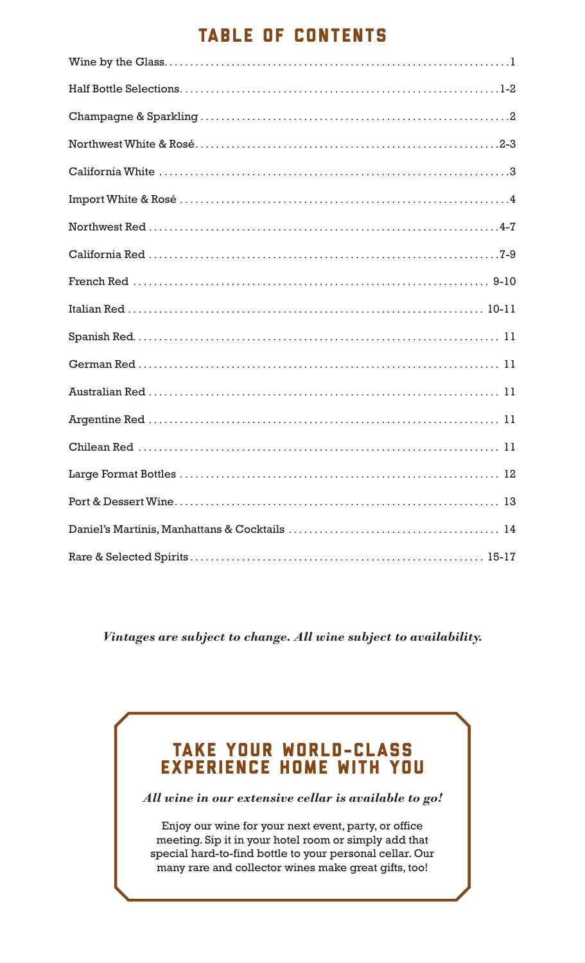### TABLE OF CONTENTS

*Vintages are subject to change. All wine subject to availability.*

### TAKE YOUR WORLD-CLASS EXPERIENCE HOME WITH YOU

*All wine in our extensive cellar is available to go!*

Enjoy our wine for your next event, party, or office meeting. Sip it in your hotel room or simply add that special hard-to-find bottle to your personal cellar. Our many rare and collector wines make great gifts, too!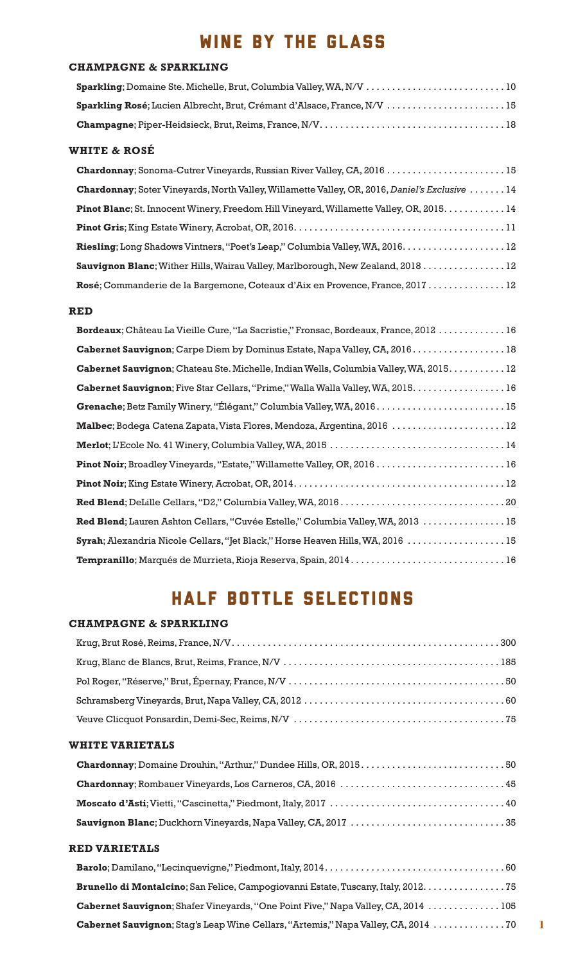# WINE BY THE GLASS

#### **CHAMPAGNE & SPARKLING**

| Sparkling Rosé; Lucien Albrecht, Brut, Crémant d'Alsace, France, N/V  15 |  |
|--------------------------------------------------------------------------|--|
|                                                                          |  |

#### **WHITE & ROSÉ**

| Chardonnay; Soter Vineyards, North Valley, Willamette Valley, OR, 2016, Daniel's Exclusive  14 |
|------------------------------------------------------------------------------------------------|
| Pinot Blanc; St. Innocent Winery, Freedom Hill Vineyard, Willamette Valley, OR, 2015. 14       |
|                                                                                                |
| Riesling; Long Shadows Vintners, "Poet's Leap," Columbia Valley, WA, 2016.  12                 |
| Sauvignon Blanc; Wither Hills, Wairau Valley, Marlborough, New Zealand, 2018 12                |
| Rosé; Commanderie de la Bargemone, Coteaux d'Aix en Provence, France, 2017 12                  |

#### **RED**

| Bordeaux; Château La Vieille Cure, "La Sacristie," Fronsac, Bordeaux, France, 2012  16        |
|-----------------------------------------------------------------------------------------------|
| Cabernet Sauvignon; Carpe Diem by Dominus Estate, Napa Valley, CA, 2016.  18                  |
| <b>Cabernet Sauvignon</b> ; Chateau Ste. Michelle, Indian Wells, Columbia Valley, WA, 2015 12 |
| Cabernet Sauvignon; Five Star Cellars, "Prime," Walla Walla Valley, WA, 2015. 16              |
|                                                                                               |
| Malbec; Bodega Catena Zapata, Vista Flores, Mendoza, Argentina, 2016  12                      |
|                                                                                               |
| Pinot Noir; Broadley Vineyards, "Estate," Willamette Valley, OR, 2016  16                     |
|                                                                                               |
|                                                                                               |
| Red Blend; Lauren Ashton Cellars, "Cuvée Estelle," Columbia Valley, WA, 2013  15              |
| Syrah; Alexandria Nicole Cellars, "Jet Black," Horse Heaven Hills, WA, 2016  15               |
|                                                                                               |

# HALF BOTTLE SELECTIONS

#### **CHAMPAGNE & SPARKLING**

#### **WHITE VARIETALS**

#### **RED VARIETALS**

| Brunello di Montalcino; San Felice, Campogiovanni Estate, Tuscany, Italy, 2012. 75        |
|-------------------------------------------------------------------------------------------|
| <b>Cabernet Sauvignon</b> ; Shafer Vineyards, "One Point Five," Napa Valley, CA, 2014 105 |
|                                                                                           |

**1**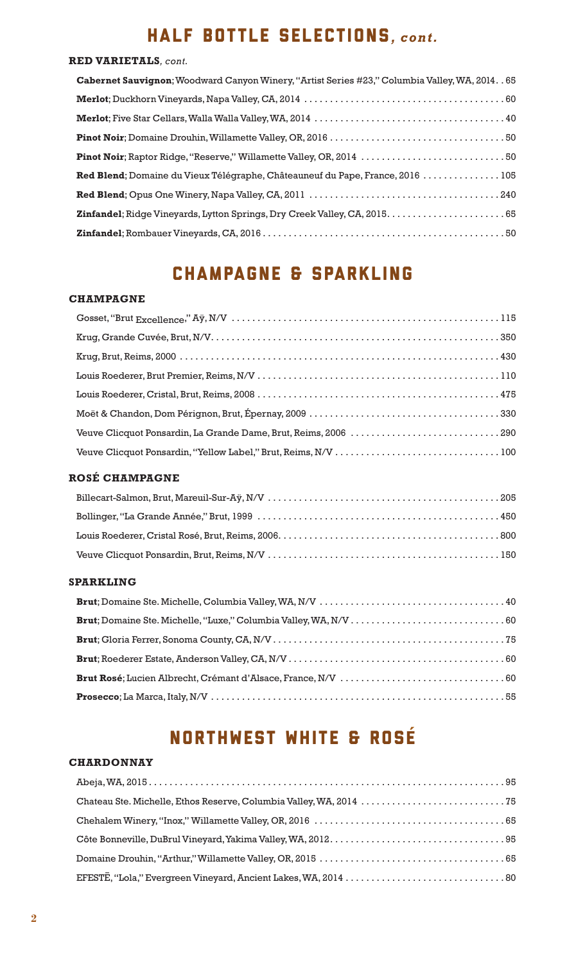# HALF BOTTLE SELECTIONS*, cont.*

#### **RED VARIETALS***, cont.*

| Cabernet Sauvignon; Woodward Canyon Winery, "Artist Series #23," Columbia Valley, WA, 2014. . 65 |
|--------------------------------------------------------------------------------------------------|
|                                                                                                  |
|                                                                                                  |
|                                                                                                  |
|                                                                                                  |
| Red Blend; Domaine du Vieux Télégraphe, Châteauneuf du Pape, France, 2016  105                   |
|                                                                                                  |
|                                                                                                  |
|                                                                                                  |

### CHAMPAGNE & SPARKLING

#### **CHAMPAGNE**

| Veuve Clicquot Ponsardin, La Grande Dame, Brut, Reims, 2006 290 |
|-----------------------------------------------------------------|
|                                                                 |

#### **ROSÉ CHAMPAGNE**

#### **SPARKLING**

# NORTHWEST WHITE & ROSE

#### **CHARDONNAY**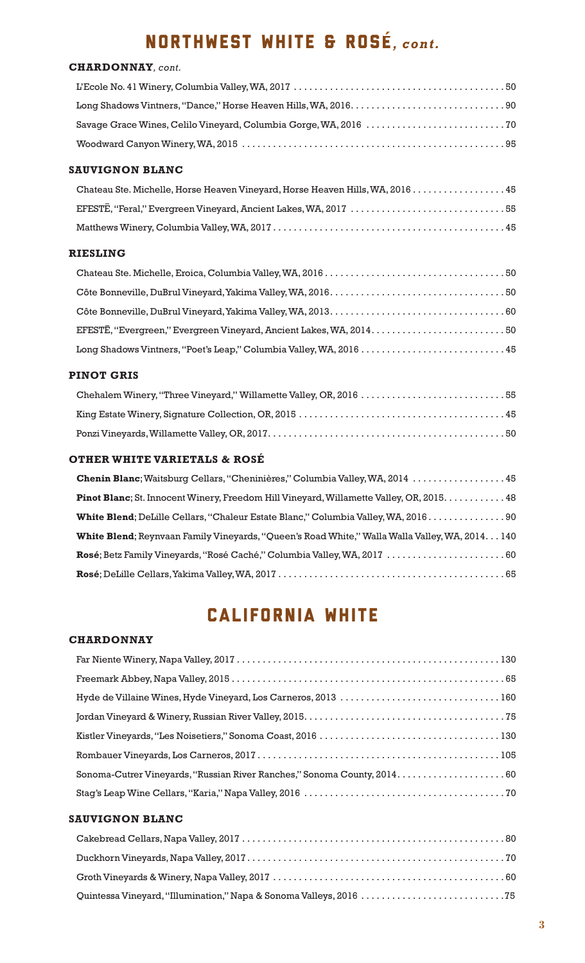# NORTHWEST WHITE & ROSE*, cont.*

#### **CHARDONNAY***, cont.*

#### **SAUVIGNON BLANC**

| Chateau Ste. Michelle, Horse Heaven Vineyard, Horse Heaven Hills, WA, 2016 45 |  |
|-------------------------------------------------------------------------------|--|
|                                                                               |  |
|                                                                               |  |

#### **RIESLING**

| Long Shadows Vintners, "Poet's Leap," Columbia Valley, WA, 2016  45 |  |
|---------------------------------------------------------------------|--|

#### **PINOT GRIS**

| Chehalem Winery, "Three Vineyard," Willamette Valley, OR, 2016 55 |  |
|-------------------------------------------------------------------|--|
|                                                                   |  |
|                                                                   |  |

#### **OTHER WHITE VARIETALS & ROSÉ**

| Chenin Blanc; Waitsburg Cellars, "Cheninières," Columbia Valley, WA, 2014  45                   |
|-------------------------------------------------------------------------------------------------|
| Pinot Blanc; St. Innocent Winery, Freedom Hill Vineyard, Willamette Valley, OR, 2015. 48        |
| White Blend; DeLille Cellars, "Chaleur Estate Blanc," Columbia Valley, WA, 2016                 |
| White Blend; Reynvaan Family Vineyards, "Queen's Road White," Walla Walla Valley, WA, 2014. 140 |
| Rosé; Betz Family Vineyards, "Rosé Caché," Columbia Valley, WA, 2017  60                        |
|                                                                                                 |

### CALIFORNIA WHITE

#### **CHARDONNAY**

#### **SAUVIGNON BLANC**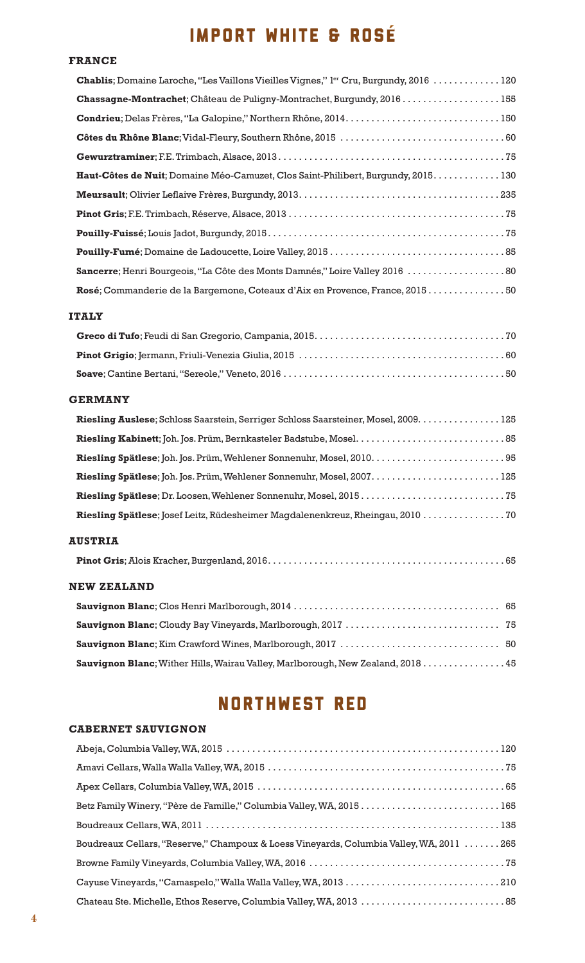# IMPORT WHITE & ROSE

#### **FRANCE**

#### **ITALY**

#### **GERMANY**

| Riesling Auslese; Schloss Saarstein, Serriger Schloss Saarsteiner, Mosel, 2009. 125 |
|-------------------------------------------------------------------------------------|
|                                                                                     |
|                                                                                     |
|                                                                                     |
|                                                                                     |
|                                                                                     |
|                                                                                     |

#### **AUSTRIA**

#### **NEW ZEALAND**

| <b>Sauvignon Blanc</b> ; Wither Hills, Wairau Valley, Marlborough, New Zealand, 2018 45 |  |
|-----------------------------------------------------------------------------------------|--|

# NORTHWEST RED

#### **CABERNET SAUVIGNON**

| Betz Family Winery, "Père de Famille," Columbia Valley, WA, 2015  165                    |
|------------------------------------------------------------------------------------------|
|                                                                                          |
| Boudreaux Cellars, "Reserve," Champoux & Loess Vineyards, Columbia Valley, WA, 2011  265 |
|                                                                                          |
|                                                                                          |
|                                                                                          |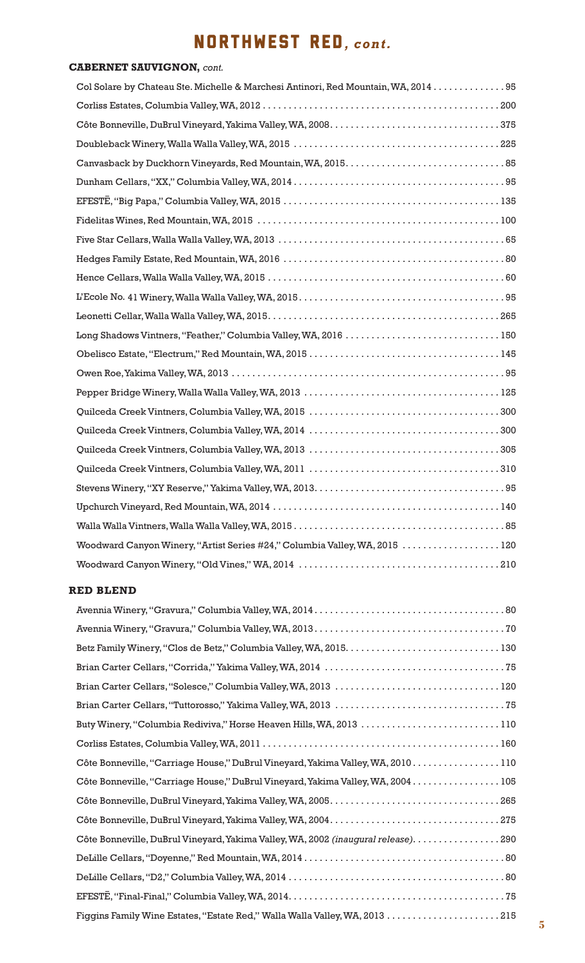# NORTHWEST RED*, cont.*

### **CABERNET SAUVIGNON,** *cont.*

| Col Solare by Chateau Ste. Michelle & Marchesi Antinori, Red Mountain, WA, 2014  95 |
|-------------------------------------------------------------------------------------|
|                                                                                     |
|                                                                                     |
|                                                                                     |
|                                                                                     |
|                                                                                     |
|                                                                                     |
|                                                                                     |
|                                                                                     |
|                                                                                     |
|                                                                                     |
|                                                                                     |
|                                                                                     |
| Long Shadows Vintners, "Feather," Columbia Valley, WA, 2016 150                     |
|                                                                                     |
|                                                                                     |
|                                                                                     |
|                                                                                     |
|                                                                                     |
|                                                                                     |
|                                                                                     |
|                                                                                     |
|                                                                                     |
|                                                                                     |
| Woodward Canyon Winery, "Artist Series #24," Columbia Valley, WA, 2015  120         |
|                                                                                     |

#### **RED BLEND**

| Brian Carter Cellars, "Solesce," Columbia Valley, WA, 2013 120                     |
|------------------------------------------------------------------------------------|
|                                                                                    |
| Buty Winery, "Columbia Rediviva," Horse Heaven Hills, WA, 2013 110                 |
|                                                                                    |
| Côte Bonneville, "Carriage House," DuBrul Vineyard, Yakima Valley, WA, 2010110     |
| Côte Bonneville, "Carriage House," DuBrul Vineyard, Yakima Valley, WA, 2004 105    |
|                                                                                    |
|                                                                                    |
| Côte Bonneville, DuBrul Vineyard, Yakima Valley, WA, 2002 (inaugural release). 290 |
|                                                                                    |
|                                                                                    |
|                                                                                    |
|                                                                                    |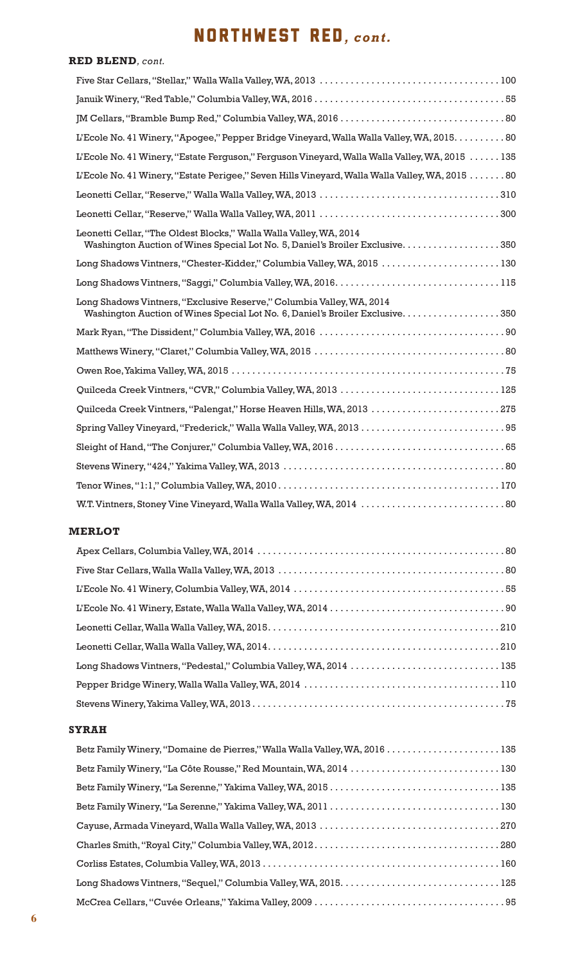### NORTHWEST RED*, cont.*

### **RED BLEND***, cont.* Five Star Cellars, "Stellar," Walla Walla Valley, WA, 2013 . . . . . . . . . . . . . . . . . . . . . . . . . . . . . . . . . . . 100 Januik Winery, "Red Table," Columbia Valley, WA, 2016 . . . . . . . . . . . . . . . . . . . . . . . . . . . . . . . . . . . . . 55 JM Cellars, "Bramble Bump Red," Columbia Valley, WA, 2016 . . . . . . . . . . . . . . . . . . . . . . . . . . . . . . . . 80 L'Ecole No. 41 Winery, "Apogee," Pepper Bridge Vineyard, Walla Walla Valley, WA, 2015. . . . . . . . . . 80 L'Ecole No. 41 Winery, "Estate Ferguson," Ferguson Vineyard, Walla Walla Valley, WA, 2015 . . . . . . 135 L'Ecole No. 41 Winery, "Estate Perigee," Seven Hills Vineyard, Walla Walla Valley, WA, 2015 . . . . . . . 80 Leonetti Cellar, "Reserve," Walla Walla Valley, WA, 2013 . . . . . . . . . . . . . . . . . . . . . . . . . . . . . . . . . . . 310 Leonetti Cellar, "Reserve," Walla Walla Valley, WA, 2011 . . . . . . . . . . . . . . . . . . . . . . . . . . . . . . . . . . . 300 Leonetti Cellar, "The Oldest Blocks," Walla Walla Valley, WA, 2014 Washington Auction of Wines Special Lot No. 5, Daniel's Broiler Exclusive. . . . . . . . . . . . . . . . . . . 350 Long Shadows Vintners, "Chester-Kidder," Columbia Valley, WA, 2015 . . . . . . . . . . . . . . . . . . . . . . . 130 Long Shadows Vintners, "Saggi," Columbia Valley, WA, 2016. . . . . . . . . . . . . . . . . . . . . . . . . . . . . . . . 115 Long Shadows Vintners, "Exclusive Reserve," Columbia Valley, WA, 2014 Washington Auction of Wines Special Lot No. 6, Daniel's Broiler Exclusive. . . . . . . . . . . . . . . . . . . 350 Mark Ryan, "The Dissident," Columbia Valley, WA, 2016 . . . . . . . . . . . . . . . . . . . . . . . . . . . . . . . . . . . . 90 Matthews Winery, "Claret," Columbia Valley, WA, 2015 . . . . . . . . . . . . . . . . . . . . . . . . . . . . . . . . . . . . . 80 Owen Roe, Yakima Valley, WA, 2015 . . . . . . . . . . . . . . . . . . . . . . . . . . . . . . . . . . . . . . . . . . . . . . . . . . . . . 75 Quilceda Creek Vintners, "CVR," Columbia Valley, WA, 2013 . . . . . . . . . . . . . . . . . . . . . . . . . . . . . . . 125 Quilceda Creek Vintners, "Palengat," Horse Heaven Hills, WA, 2013 . . . . . . . . . . . . . . . . . . . . . . . . . 275 Spring Valley Vineyard, "Frederick," Walla Walla Valley, WA, 2013 . . . . . . . . . . . . . . . . . . . . . . . . . . . . 95 Sleight of Hand, "The Conjurer," Columbia Valley, WA, 2016 . . . . . . . . . . . . . . . . . . . . . . . . . . . . . . . . . 65 Stevens Winery, "424," Yakima Valley, WA, 2013 . . . . . . . . . . . . . . . . . . . . . . . . . . . . . . . . . . . . . . . . . . . 80 Tenor Wines, "1:1," Columbia Valley, WA, 2010 . . . . . . . . . . . . . . . . . . . . . . . . . . . . . . . . . . . . . . . . . . . 170 W.T. Vintners, Stoney Vine Vineyard, Walla Walla Valley, WA, 2014 . . . . . . . . . . . . . . . . . . . . . . . . . . . . 80

#### **MERLOT**

| Long Shadows Vintners, "Pedestal," Columbia Valley, WA, 2014  135 |  |
|-------------------------------------------------------------------|--|
|                                                                   |  |
|                                                                   |  |

#### **SYRAH**

| Betz Family Winery, "La Côte Rousse," Red Mountain, WA, 2014  130 |
|-------------------------------------------------------------------|
|                                                                   |
|                                                                   |
|                                                                   |
|                                                                   |
|                                                                   |
|                                                                   |
|                                                                   |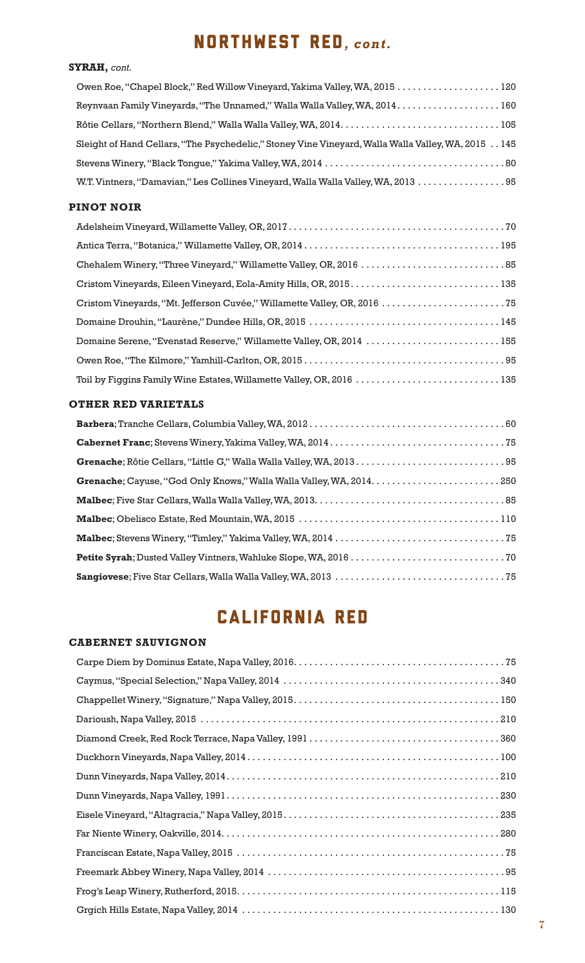## NORTHWEST RED*, cont.*

#### **SYRAH,** *cont.*

| Owen Roe, "Chapel Block," Red Willow Vineyard, Yakima Valley, WA, 2015 120                         |  |
|----------------------------------------------------------------------------------------------------|--|
|                                                                                                    |  |
|                                                                                                    |  |
| Sleight of Hand Cellars, "The Psychedelic," Stoney Vine Vineyard, Walla Walla Valley, WA, 2015 145 |  |
|                                                                                                    |  |
| W.T. Vintners, "Damavian," Les Collines Vineyard, Walla Walla Valley, WA, 2013 95                  |  |

#### **PINOT NOIR**

| Cristom Vineyards, Eileen Vineyard, Eola-Amity Hills, OR, 2015.  135      |  |
|---------------------------------------------------------------------------|--|
| Cristom Vineyards, "Mt. Jefferson Cuvée," Willamette Valley, OR, 2016  75 |  |
|                                                                           |  |
| Domaine Serene, "Evenstad Reserve," Willamette Valley, OR, 2014 155       |  |
|                                                                           |  |
| Toil by Figgins Family Wine Estates, Willamette Valley, OR, 2016  135     |  |

#### **OTHER RED VARIETALS**

| Grenache; Cayuse, "God Only Knows," Walla Walla Valley, WA, 2014.  250 |
|------------------------------------------------------------------------|
|                                                                        |
|                                                                        |
|                                                                        |
|                                                                        |
|                                                                        |

# CALIFORNIA RED

#### **CABERNET SAUVIGNON**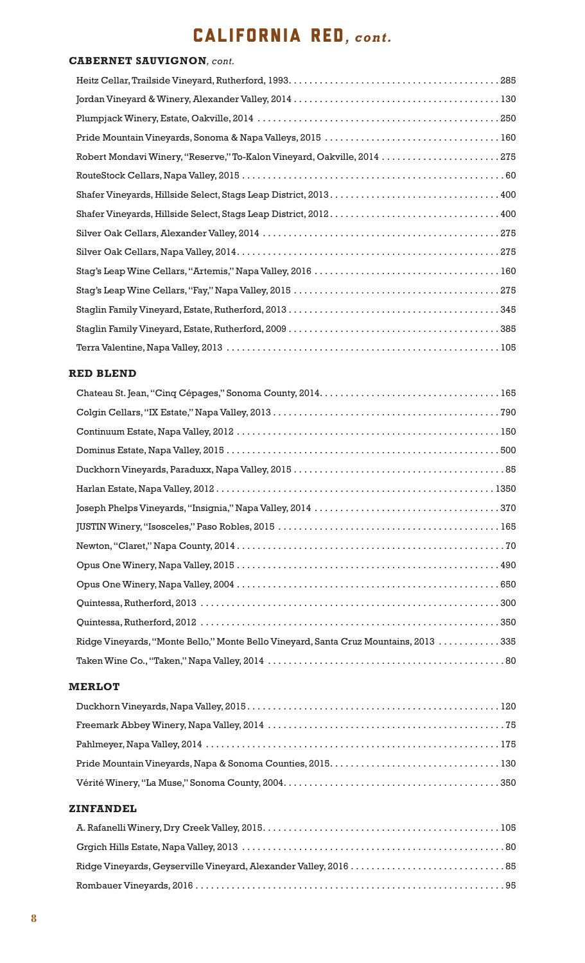# CALIFORNIA RED*, cont.*

#### **CABERNET SAUVIGNON***, cont.*

| Robert Mondavi Winery, "Reserve," To-Kalon Vineyard, Oakville, 2014 275 |
|-------------------------------------------------------------------------|
|                                                                         |
|                                                                         |
|                                                                         |
|                                                                         |
|                                                                         |
|                                                                         |
|                                                                         |
|                                                                         |
|                                                                         |
|                                                                         |

#### **RED BLEND**

| Ridge Vineyards, "Monte Bello," Monte Bello Vineyard, Santa Cruz Mountains, 2013 335 |
|--------------------------------------------------------------------------------------|
|                                                                                      |

#### **MERLOT**

#### **ZINFANDEL**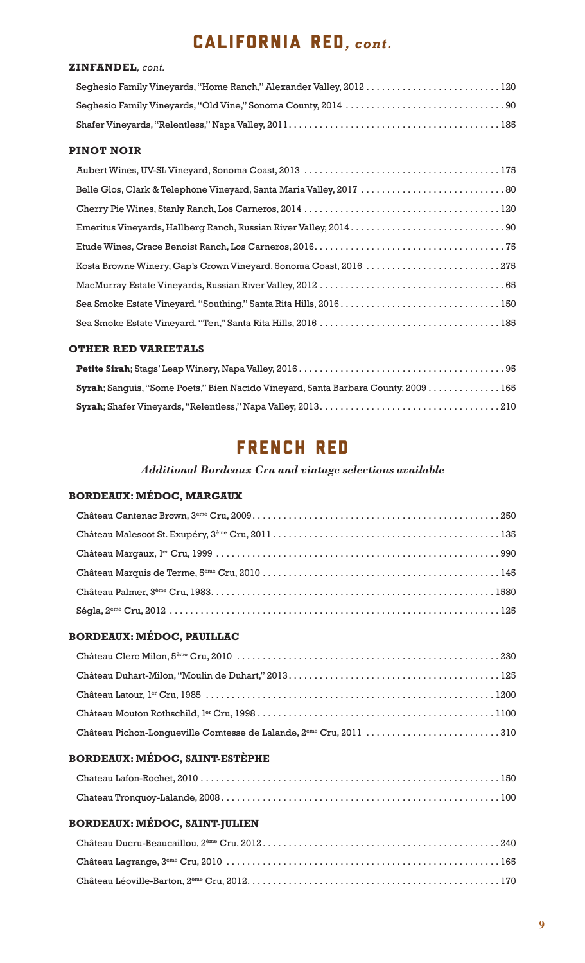### CALIFORNIA RED*, cont.*

#### **ZINFANDEL***, cont.*

| Seghesio Family Vineyards, "Home Ranch," Alexander Valley, 2012120 |  |
|--------------------------------------------------------------------|--|
|                                                                    |  |
|                                                                    |  |

#### **PINOT NOIR**

| Belle Glos, Clark & Telephone Vineyard, Santa Maria Valley, 2017  80 |
|----------------------------------------------------------------------|
|                                                                      |
|                                                                      |
|                                                                      |
| Kosta Browne Winery, Gap's Crown Vineyard, Sonoma Coast, 2016 275    |
|                                                                      |
| Sea Smoke Estate Vineyard, "Southing," Santa Rita Hills, 2016.  150  |
|                                                                      |

#### **OTHER RED VARIETALS**

| Syrah; Sanquis, "Some Poets," Bien Nacido Vineyard, Santa Barbara County, 2009 165 |
|------------------------------------------------------------------------------------|
|                                                                                    |

### FRENCH RED

#### *Additional Bordeaux Cru and vintage selections available*

#### **BORDEAUX: MÉDOC, MARGAUX**

#### **BORDEAUX: MÉDOC, PAUILLAC**

| Château Pichon-Longueville Comtesse de Lalande, 2 <sup>ème</sup> Cru, 2011 310 |  |
|--------------------------------------------------------------------------------|--|

#### **BORDEAUX: MÉDOC, SAINT-ESTÈPHE**

#### **BORDEAUX: MÉDOC, SAINT-JULIEN**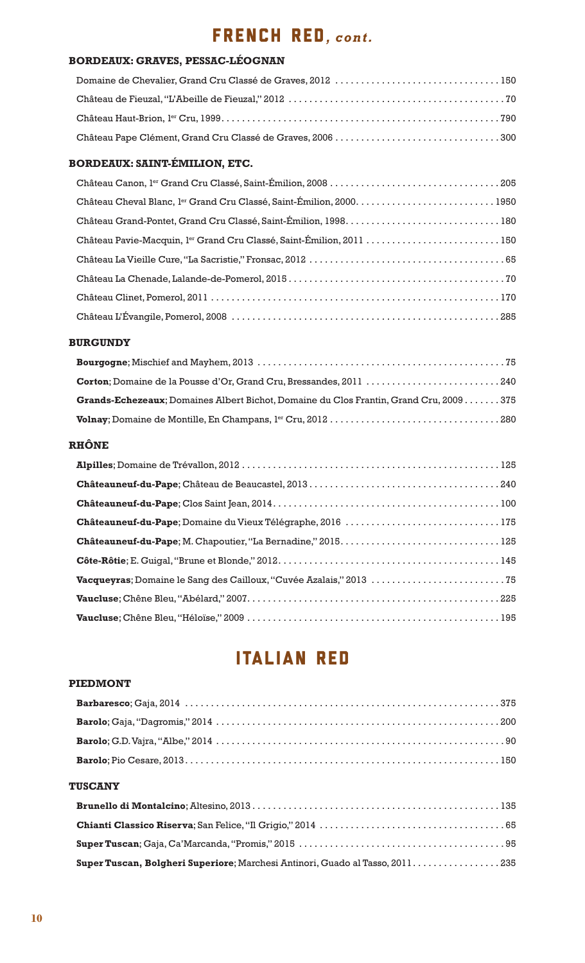# French RED*, cont.*

#### **BORDEAUX: GRAVES, PESSAC-LÉOGNAN**

#### **BORDEAUX: SAINT-ÉMILION, ETC.**

| Château Pavie-Macquin, lex Grand Cru Classé, Saint-Émilion, 2011  150 |
|-----------------------------------------------------------------------|
|                                                                       |
|                                                                       |
|                                                                       |
|                                                                       |

#### **BURGUNDY**

| Corton; Domaine de la Pousse d'Or, Grand Cru, Bressandes, 2011 240                            |
|-----------------------------------------------------------------------------------------------|
| <b>Grands-Echezeaux</b> ; Domaines Albert Bichot, Domaine du Clos Frantin, Grand Cru, 2009375 |
|                                                                                               |

#### **RHÔNE**

| Châteauneuf-du-Pape; Domaine du Vieux Télégraphe, 2016 175 |
|------------------------------------------------------------|
|                                                            |
|                                                            |
|                                                            |
|                                                            |
|                                                            |

### ITALIAN RED

#### **PIEDMONT**

| <b>TUSCANY</b> |  |
|----------------|--|
|                |  |
|                |  |
|                |  |

**Super Tuscan, Bolgheri Superiore**; Marchesi Antinori, Guado al Tasso, 2011. . . . . . . . . . . . . . . . . 235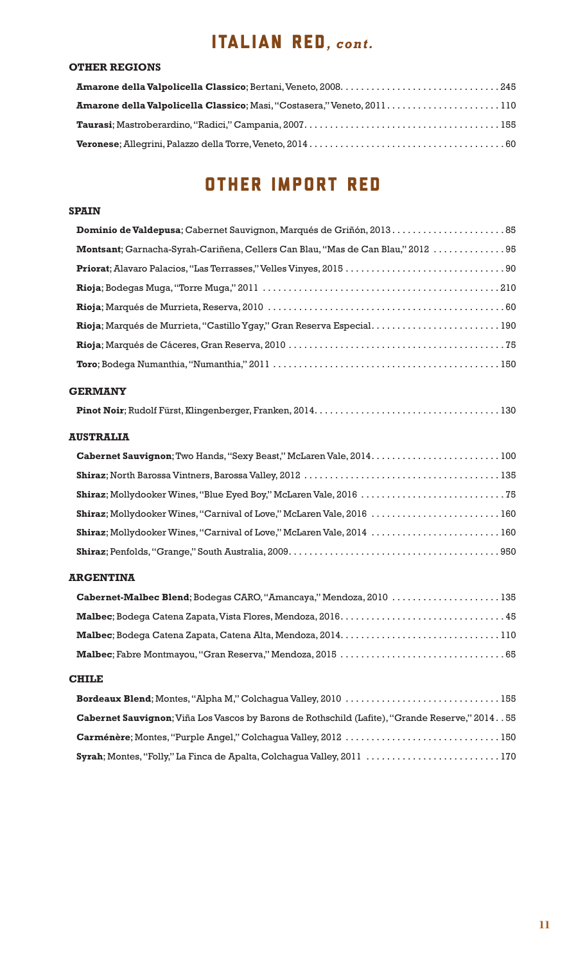# ITALIAN RED*, cont.*

#### **OTHER REGIONS**

# OTHER IMPORT RED

#### **SPAIN**

| Dominio de Valdepusa; Cabernet Sauvignon, Marqués de Griñón, 2013.  85                         |
|------------------------------------------------------------------------------------------------|
| Montsant; Garnacha-Syrah-Cariñena, Cellers Can Blau, "Mas de Can Blau," 2012  95               |
|                                                                                                |
|                                                                                                |
|                                                                                                |
|                                                                                                |
|                                                                                                |
|                                                                                                |
| <b>GERMANY</b>                                                                                 |
|                                                                                                |
| <b>AUSTRALIA</b>                                                                               |
|                                                                                                |
|                                                                                                |
|                                                                                                |
| Shiraz; Mollydooker Wines, "Carnival of Love," McLaren Vale, 2016  160                         |
| Shiraz; Mollydooker Wines, "Carnival of Love," McLaren Vale, 2014  160                         |
|                                                                                                |
| <b>ARGENTINA</b>                                                                               |
| Cabernet-Malbec Blend; Bodegas CARO, "Amancaya," Mendoza, 2010 135                             |
|                                                                                                |
|                                                                                                |
|                                                                                                |
| <b>CHILE</b>                                                                                   |
| Bordeaux Blend; Montes, "Alpha M," Colchagua Valley, 2010 155                                  |
| Cabernet Sauvignon; Viña Los Vascos by Barons de Rothschild (Lafite), "Grande Reserve," 201455 |
| Carménère; Montes, "Purple Angel," Colchagua Valley, 2012 150                                  |
| Syrah; Montes, "Folly," La Finca de Apalta, Colchagua Valley, 2011 170                         |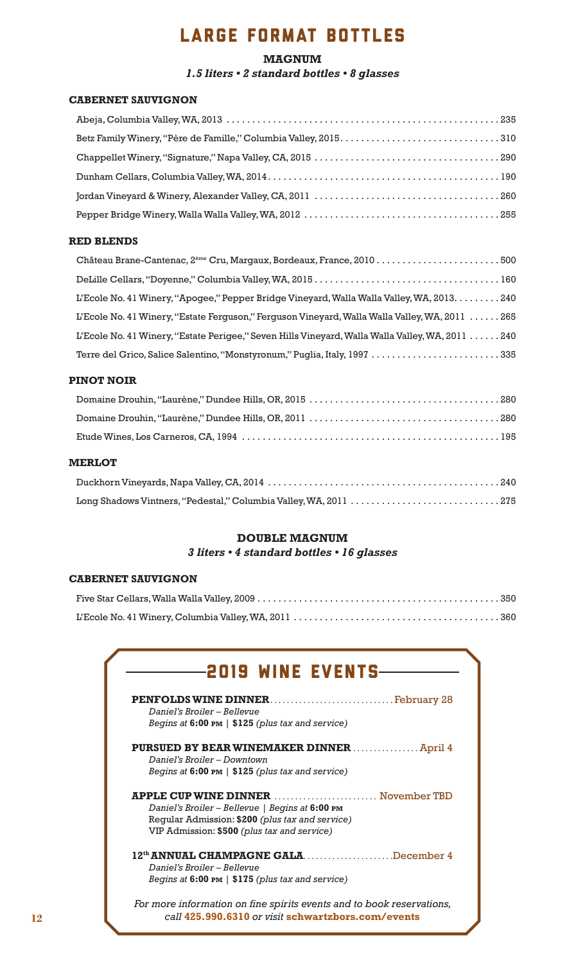# LARGE FORMAT BOTTLES

#### **MAGNUM** *1.5 liters • 2 standard bottles • 8 glasses*

#### **CABERNET SAUVIGNON**

#### **RED BLENDS**

| L'Ecole No. 41 Winery, "Apogee," Pepper Bridge Vineyard, Walla Walla Valley, WA, 2013. 240      |  |
|-------------------------------------------------------------------------------------------------|--|
| I'Ecole No. 41 Winery, "Estate Ferguson," Ferguson Vineyard, Walla Walla Valley, WA, 2011 265   |  |
| L'Ecole No. 41 Winery, "Estate Perigee," Seven Hills Vineyard, Walla Walla Valley, WA, 2011 240 |  |
| Terre del Grico, Salice Salentino, "Monstyronum," Puglia, Italy, 1997 335                       |  |

#### **PINOT NOIR**

#### **MERLOT**

| Long Shadows Vintners, "Pedestal," Columbia Valley, WA, 2011 275 |  |
|------------------------------------------------------------------|--|

#### **DOUBLE MAGNUM** *3 liters • 4 standard bottles • 16 glasses*

#### **CABERNET SAUVIGNON**

| <b>2019 WINE EVENTS-</b>                                                                                                                                                                       |  |
|------------------------------------------------------------------------------------------------------------------------------------------------------------------------------------------------|--|
| Daniel's Broiler – Bellevue<br>Begins at 6:00 PM   \$125 (plus tax and service)                                                                                                                |  |
| <b>PURSUED BY BEAR WINEMAKER DINNER  April 4</b><br>Daniel's Broiler - Downtown<br>Begins at 6:00 PM   \$125 (plus tax and service)                                                            |  |
| <b>APPLE CUP WINE DINNER</b> November TBD<br>Daniel's Broiler - Bellevue   Begins at 6:00 PM<br>Regular Admission: \$200 (plus tax and service)<br>VIP Admission: \$500 (plus tax and service) |  |
| 12 <sup>th</sup> ANNUAL CHAMPAGNE GALADecember 4<br>Daniel's Broiler – Bellevue<br>Begins at 6:00 PM   \$175 (plus tax and service)                                                            |  |
| For more information on fine spirits events and to book reservations,<br>call 425,990,6310 or visit schwartzbors.com/events                                                                    |  |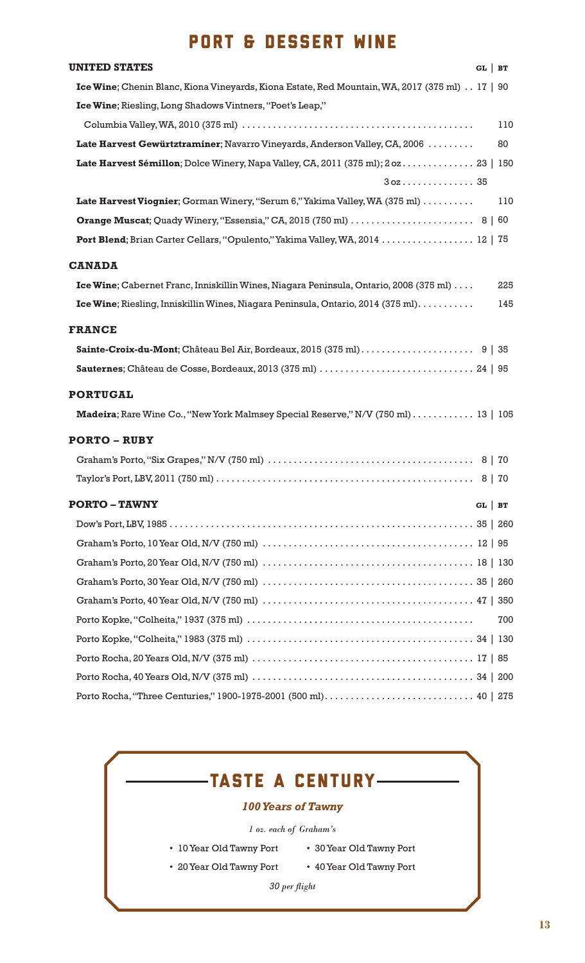### PORT & DESSERT WINE

| <b>UNITED STATES</b>                                                                                                                  | $GL$ BT |     |
|---------------------------------------------------------------------------------------------------------------------------------------|---------|-----|
| Ice Wine; Chenin Blanc, Kiona Vineyards, Kiona Estate, Red Mountain, WA, 2017 (375 ml) 17   90                                        |         |     |
| Ice Wine; Riesling, Long Shadows Vintners, "Poet's Leap,"                                                                             |         |     |
|                                                                                                                                       |         | 110 |
| Late Harvest Gewürtztraminer; Navarro Vineyards, Anderson Valley, CA, 2006                                                            |         | 80  |
| Late Harvest Sémillon; Dolce Winery, Napa Valley, CA, 2011 (375 ml); 2 oz 23   150                                                    |         |     |
| $30z$ 35                                                                                                                              |         |     |
| Late Harvest Viognier; Gorman Winery, "Serum 6," Yakima Valley, WA (375 ml)                                                           |         | 110 |
|                                                                                                                                       |         |     |
| Port Blend; Brian Carter Cellars, "Opulento," Yakima Valley, WA, 2014  12   75                                                        |         |     |
| <b>CANADA</b>                                                                                                                         |         |     |
| Ice Wine; Cabernet Franc, Inniskillin Wines, Niagara Peninsula, Ontario, 2008 (375 ml)                                                |         | 225 |
| Ice Wine; Riesling, Inniskillin Wines, Niagara Peninsula, Ontario, 2014 (375 ml)                                                      |         | 145 |
| <b>FRANCE</b>                                                                                                                         |         |     |
|                                                                                                                                       |         |     |
| <b>Sauternes</b> ; Château de Cosse, Bordeaux, 2013 (375 ml) $\ldots \ldots \ldots \ldots \ldots \ldots \ldots \ldots \ldots$ 24   95 |         |     |
|                                                                                                                                       |         |     |
| <b>PORTUGAL</b>                                                                                                                       |         |     |
| Madeira; Rare Wine Co., "New York Malmsey Special Reserve," N/V (750 ml) 13   105                                                     |         |     |
| <b>PORTO – RUBY</b>                                                                                                                   |         |     |
|                                                                                                                                       |         |     |
|                                                                                                                                       |         |     |
| <b>PORTO – TAWNY</b>                                                                                                                  | $GL$ BT |     |
|                                                                                                                                       |         |     |
|                                                                                                                                       |         |     |
| Graham's Porto, 20 Year Old, N/V (750 ml) $\dots\dots\dots\dots\dots\dots\dots\dots\dots\dots\dots\dots\dots\dots\dots\dots$ 18   130 |         |     |
|                                                                                                                                       |         |     |
|                                                                                                                                       |         |     |
|                                                                                                                                       |         | 700 |
|                                                                                                                                       |         |     |
| Porto Rocha, 20 Years Old, N/V (375 ml) $\dots\dots\dots\dots\dots\dots\dots\dots\dots\dots\dots\dots\dots\dots\dots\dots\dots$       |         |     |
|                                                                                                                                       |         |     |
|                                                                                                                                       |         |     |
|                                                                                                                                       |         |     |

### -TASTE A CENTURY-

#### *100 Years of Tawny*

*1 oz. each of Graham's*

- 10 Year Old Tawny Port 30 Year Old Tawny Port
- 20 Year Old Tawny Port 40 Year Old Tawny Port

```
30 per fl ight
```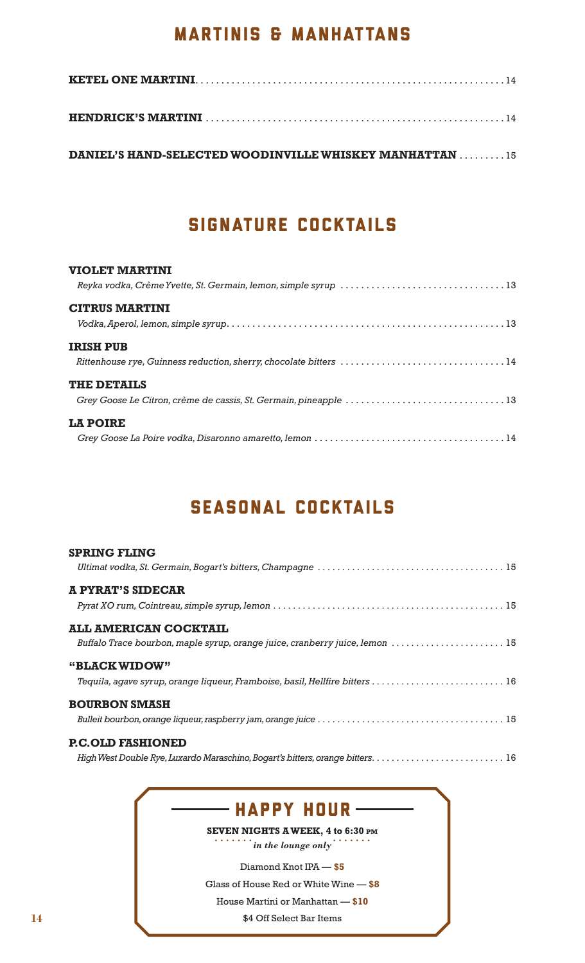### MARTINIS & MANHATTANS

**DANIEL'S HAND-SELECTED WOODINVILLE WHISKEY MANHATTAN . . . . . . . . . 15** 

# SIGNATURE COCKTAILS

#### **VIOLET MARTINI**

| <b>CITRUS MARTINI</b>                                             |
|-------------------------------------------------------------------|
|                                                                   |
| <b>IRISH PUB</b>                                                  |
| Rittenhouse rye, Guinness reduction, sherry, chocolate bitters 14 |
| <b>THE DETAILS</b>                                                |
|                                                                   |
| <b>LA POIRE</b>                                                   |
|                                                                   |

# SEasonal cocktails

| <b>SPRING FLING</b>                                                          |
|------------------------------------------------------------------------------|
|                                                                              |
| <b>A PYRAT'S SIDECAR</b>                                                     |
|                                                                              |
| <b>ALL AMERICAN COCKTAIL</b>                                                 |
| Buffalo Trace bourbon, maple syrup, orange juice, cranberry juice, lemon  15 |
| "BLACK WIDOW"                                                                |
| Tequila, agave syrup, orange liqueur, Framboise, basil, Hellfire bitters  16 |
| <b>BOURBON SMASH</b>                                                         |
|                                                                              |
| <b>P.C.OLD FASHIONED</b>                                                     |
|                                                                              |

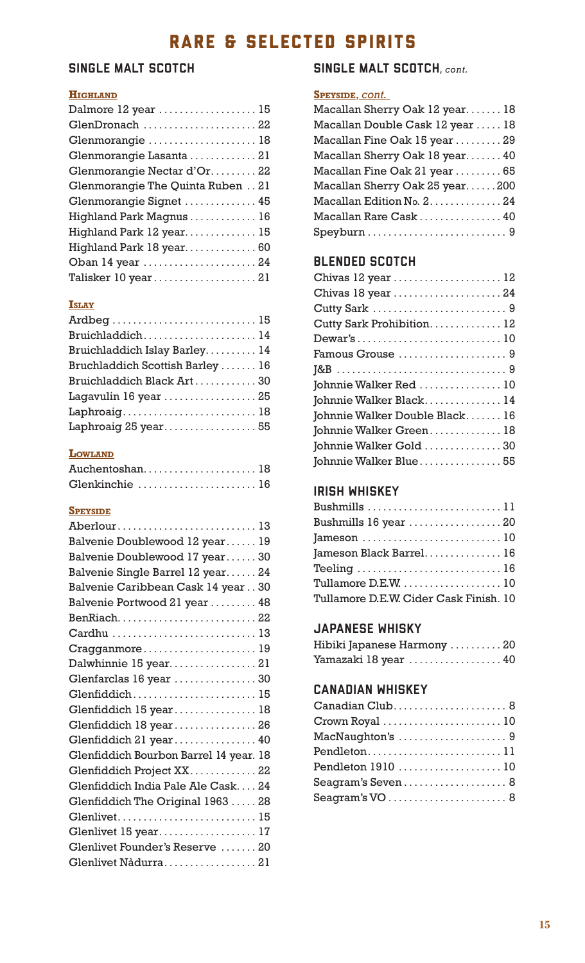# RARE & SELECTED SPIRITS

### SINGLE MALT SCOTCH

#### **HIGHLAND**

| Dalmore 12 year  15              |
|----------------------------------|
| GlenDronach 22                   |
| Glenmorangie  18                 |
| Glenmorangie Lasanta 21          |
| Glenmorangie Nectar d'Or22       |
| Glenmorangie The Quinta Ruben 21 |
| Glenmorangie Signet  45          |
| Highland Park Magnus  16         |
| Highland Park 12 year 15         |
| Highland Park 18 year 60         |
| Oban 14 year 24                  |
| Talisker 10 year21               |

#### **ISLAY**

#### **LOWLAND**

| Auchentoshan18 |  |  |  |  |  |  |  |  |  |  |
|----------------|--|--|--|--|--|--|--|--|--|--|
| Glenkinchie 16 |  |  |  |  |  |  |  |  |  |  |

#### **SPEYSIDE**

| Aberlour13                             |
|----------------------------------------|
| Balvenie Doublewood 12 year 19         |
| Balvenie Doublewood 17 year30          |
| Balvenie Single Barrel 12 year 24      |
| Balvenie Caribbean Cask 14 year 30     |
| Balvenie Portwood 21 year  48          |
| BenRiach22                             |
| Cardhu 13                              |
| Cragganmore19                          |
| Dalwhinnie 15 year21                   |
| Glenfarclas 16 year  30                |
| Glenfiddich15                          |
| Glenfiddich 15 year 18                 |
| Glenfiddich 18 year26                  |
| Glenfiddich 21 year 40                 |
| Glenfiddich Bourbon Barrel 14 year. 18 |
| Glenfiddich Project XX22               |
| Glenfiddich India Pale Ale Cask24      |
| Glenfiddich The Original 1963  28      |
| Glenlivet15                            |
| Glenlivet 15 year 17                   |
| Glenlivet Founder's Reserve  20        |
| Glenlivet Nàdurra21                    |

#### SINGLE MALT SCOTCH*, cont.*

#### **SPEYSIDE**, *cont.*

| Macallan Sherry Oak 12 year 18   |
|----------------------------------|
| Macallan Double Cask 12 year  18 |
| Macallan Fine Oak 15 year  29    |
| Macallan Sherry Oak 18 year 40   |
| Macallan Fine Oak 21 year  65    |
| Macallan Sherry Oak 25 year200   |
| Macallan Edition No. 2. 24       |
| Macallan Rare Cask  40           |
|                                  |

### BLENDED SCOTCH

| Chivas 12 year  12             |
|--------------------------------|
| Chivas 18 year 24              |
|                                |
| Cutty Sark Prohibition 12      |
|                                |
|                                |
|                                |
| Johnnie Walker Red  10         |
| Johnnie Walker Black 14        |
| Johnnie Walker Double Black 16 |
| Johnnie Walker Green 18        |
| Johnnie Walker Gold  30        |
| Johnnie Walker Blue55          |

### IRISH WHISKEY

| Bushmills 11                                                         |
|----------------------------------------------------------------------|
| Bushmills 16 year  20                                                |
|                                                                      |
| Jameson Black Barrel 16                                              |
| Teeling $\ldots \ldots \ldots \ldots \ldots \ldots \ldots \ldots 16$ |
| Tullamore $D.E.W.$ 10                                                |
| Tullamore D.E.W. Cider Cask Finish. 10                               |

### JAPANESE WHISKY

| Hibiki Japanese Harmony 20 |  |
|----------------------------|--|
| Yamazaki 18 year  40       |  |

### CANADIAN WHISKEY

| Canadian Club 8    |  |
|--------------------|--|
| Crown Royal  10    |  |
| MacNaughton's 9    |  |
| Pendleton11        |  |
| Pendleton 1910  10 |  |
| Seagram's Seven 8  |  |
| Seagram's VO  8    |  |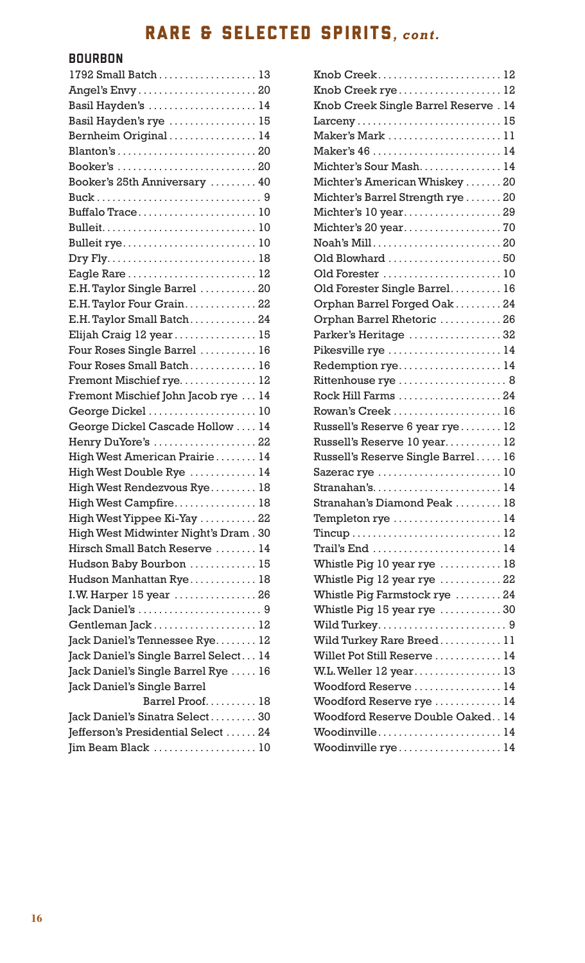# RARE & SELECTED SPIRITS*, cont.*

### BOURBON

| 1792 Small Batch 13                   |  |
|---------------------------------------|--|
|                                       |  |
| Basil Hayden's  14                    |  |
| Basil Hayden's rye  15                |  |
| Bernheim Original  14                 |  |
|                                       |  |
|                                       |  |
| Booker's 25th Anniversary  40         |  |
|                                       |  |
| Buffalo Trace10                       |  |
|                                       |  |
| Bulleit rye 10                        |  |
|                                       |  |
|                                       |  |
| E.H. Taylor Single Barrel  20         |  |
| E.H. Taylor Four Grain. 22            |  |
| E.H. Taylor Small Batch24             |  |
| Elijah Craig 12 year 15               |  |
| Four Roses Single Barrel  16          |  |
| Four Roses Small Batch 16             |  |
| Fremont Mischief rye 12               |  |
| Fremont Mischief John Jacob rye  14   |  |
| George Dickel  10                     |  |
| George Dickel Cascade Hollow  14      |  |
| Henry DuYore's 22                     |  |
| High West American Prairie 14         |  |
| High West Double Rye  14              |  |
| High West Rendezvous Rye 18           |  |
| High West Campfire 18                 |  |
| High West Yippee Ki-Yay  22           |  |
| High West Midwinter Night's Dram. 30  |  |
| Hirsch Small Batch Reserve  14        |  |
| Hudson Baby Bourbon  15               |  |
| Hudson Manhattan Rye 18               |  |
| I.W. Harper 15 year  26               |  |
|                                       |  |
| Gentleman Jack  12                    |  |
| Jack Daniel's Tennessee Rye 12        |  |
| Jack Daniel's Single Barrel Select 14 |  |
| Jack Daniel's Single Barrel Rye  16   |  |
| Jack Daniel's Single Barrel           |  |
| Barrel Proof 18                       |  |
| Jack Daniel's Sinatra Select30        |  |
| Jefferson's Presidential Select 24    |  |
|                                       |  |
|                                       |  |

| Knob Creek12                         |  |
|--------------------------------------|--|
| Knob Creek rye 12                    |  |
| Knob Creek Single Barrel Reserve. 14 |  |
| Larceny15                            |  |
| Maker's Mark 11                      |  |
| Maker's 46 14                        |  |
| Michter's Sour Mash 14               |  |
| Michter's American Whiskey  20       |  |
| Michter's Barrel Strength rye  20    |  |
| Michter's 10 year29                  |  |
|                                      |  |
| Noah's Mill20                        |  |
| Old Blowhard  50                     |  |
| Old Forester  10                     |  |
| Old Forester Single Barrel 16        |  |
| Orphan Barrel Forged Oak  24         |  |
| Orphan Barrel Rhetoric  26           |  |
| Parker's Heritage 32                 |  |
| Pikesville rye  14                   |  |
| Redemption rye 14                    |  |
| Rittenhouse rye  8                   |  |
| Rock Hill Farms 24                   |  |
| Rowan's Creek  16                    |  |
| Russell's Reserve 6 year rye 12      |  |
| Russell's Reserve 10 year 12         |  |
| Russell's Reserve Single Barrel 16   |  |
| Sazerac rye 10                       |  |
| Stranahan's14                        |  |
| Stranahan's Diamond Peak  18         |  |
| Templeton rye  14                    |  |
|                                      |  |
| Trail's End 14                       |  |
| Whistle Pig 10 year rye  18          |  |
| Whistle Pig 12 year rye  22          |  |
| Whistle Pig Farmstock rye  24        |  |
| Whistle Pig 15 year rye 30           |  |
|                                      |  |
| Wild Turkey Rare Breed 11            |  |
| Willet Pot Still Reserve  14         |  |
| W.L. Weller $12$ year 13             |  |
| Woodford Reserve  14                 |  |
| Woodford Reserve rye  14             |  |
| Woodford Reserve Double Oaked 14     |  |
| Woodinville14                        |  |
| Woodinville rye 14                   |  |